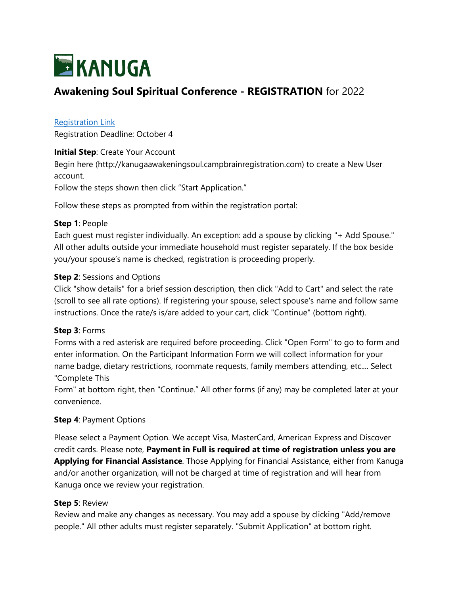

# **Awakening Soul Spiritual Conference - REGISTRATION** for 2022

# [Registration Link](http://kanugaawakeningsoul.campbrainregistration.com/)

Registration Deadline: October 4

#### **Initial Step: Create Your Account**

Begin here (http://kanugaawakeningsoul.campbrainregistration.com) to create a New User account.

Follow the steps shown then click "Start Application."

Follow these steps as prompted from within the registration portal:

### **Step 1**: People

Each guest must register individually. An exception: add a spouse by clicking "+ Add Spouse." All other adults outside your immediate household must register separately. If the box beside you/your spouse's name is checked, registration is proceeding properly.

### **Step 2: Sessions and Options**

Click "show details" for a brief session description, then click "Add to Cart" and select the rate (scroll to see all rate options). If registering your spouse, select spouse's name and follow same instructions. Once the rate/s is/are added to your cart, click "Continue" (bottom right).

#### **Step 3**: Forms

Forms with a red asterisk are required before proceeding. Click "Open Form" to go to form and enter information. On the Participant Information Form we will collect information for your name badge, dietary restrictions, roommate requests, family members attending, etc.... Select "Complete This

Form" at bottom right, then "Continue." All other forms (if any) may be completed later at your convenience.

# **Step 4**: Payment Options

Please select a Payment Option. We accept Visa, MasterCard, American Express and Discover credit cards. Please note, **Payment in Full is required at time of registration unless you are Applying for Financial Assistance**. Those Applying for Financial Assistance, either from Kanuga and/or another organization, will not be charged at time of registration and will hear from Kanuga once we review your registration.

#### **Step 5**: Review

Review and make any changes as necessary. You may add a spouse by clicking "Add/remove people." All other adults must register separately. "Submit Application" at bottom right.